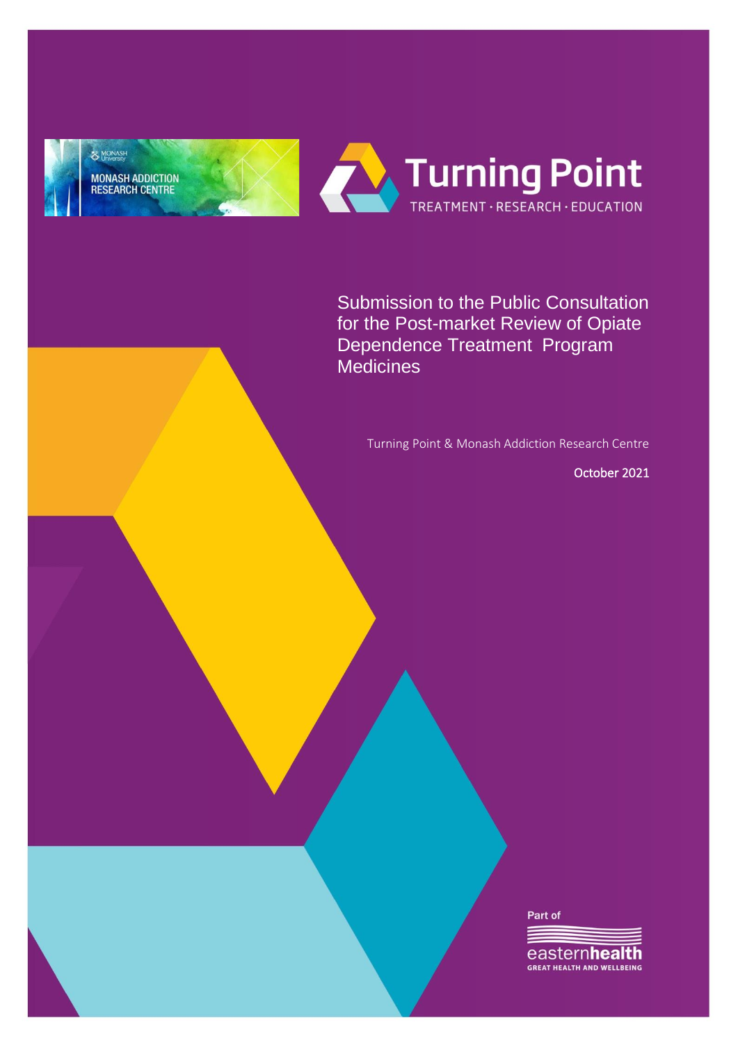

Submission to the Public Consultation for the Post-market Review of Opiate Dependence Treatment Program **Medicines** 

Turning Point & Monash Addiction Research Centre

October 2021

Part of

eastern**health GREAT HEALTH AND WELLBEING**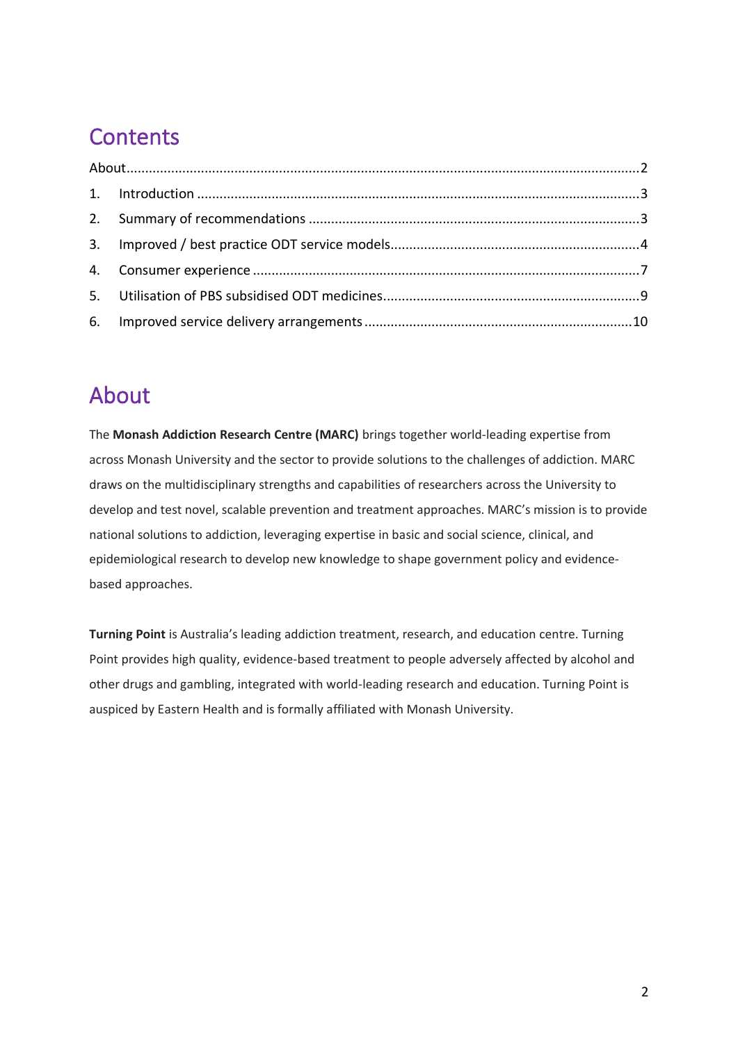# **Contents**

## <span id="page-1-0"></span>About

The **Monash Addiction Research Centre (MARC)** brings together world-leading expertise from across Monash University and the sector to provide solutions to the challenges of addiction. MARC draws on the multidisciplinary strengths and capabilities of researchers across the University to develop and test novel, scalable prevention and treatment approaches. MARC's mission is to provide national solutions to addiction, leveraging expertise in basic and social science, clinical, and epidemiological research to develop new knowledge to shape government policy and evidencebased approaches.

**Turning Point** is Australia's leading addiction treatment, research, and education centre. Turning Point provides high quality, evidence-based treatment to people adversely affected by alcohol and other drugs and gambling, integrated with world-leading research and education. Turning Point is auspiced by Eastern Health and is formally affiliated with Monash University.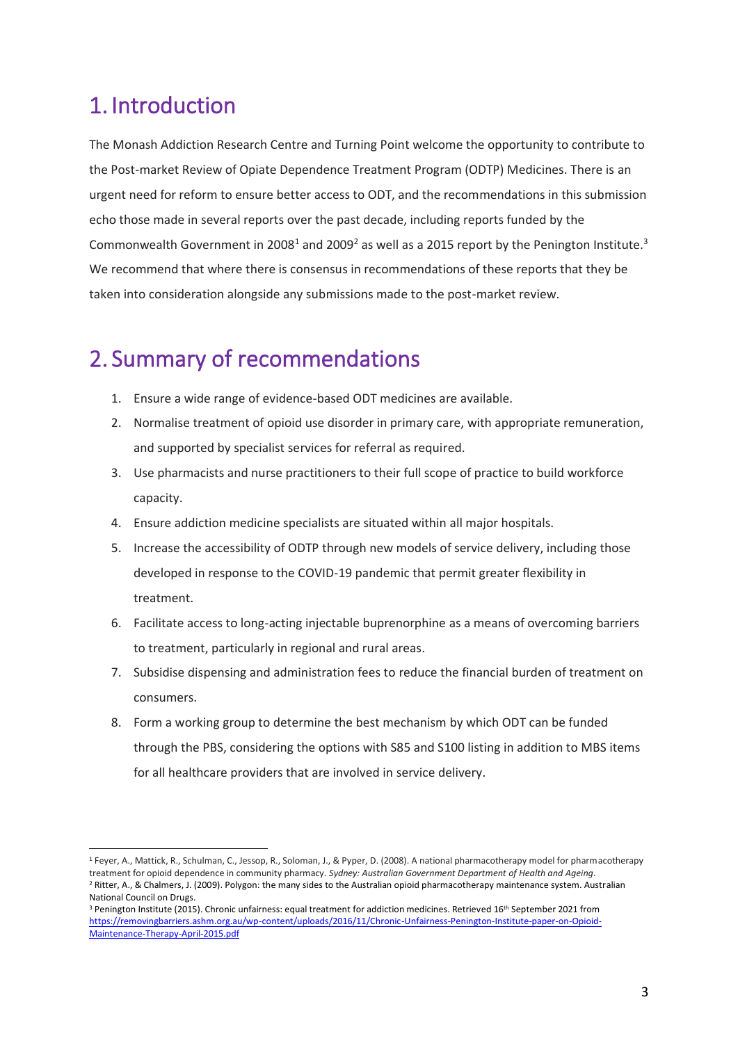### <span id="page-2-0"></span>1. Introduction

The Monash Addiction Research Centre and Turning Point welcome the opportunity to contribute to the Post-market Review of Opiate Dependence Treatment Program (ODTP) Medicines. There is an urgent need for reform to ensure better access to ODT, and the recommendations in this submission echo those made in several reports over the past decade, including reports funded by the Commonwealth Government in 2008<sup>1</sup> and 2009<sup>2</sup> as well as a 2015 report by the Penington Institute.<sup>3</sup> We recommend that where there is consensus in recommendations of these reports that they be taken into consideration alongside any submissions made to the post-market review.

### <span id="page-2-1"></span>2. Summary of recommendations

- 1. Ensure a wide range of evidence-based ODT medicines are available.
- 2. Normalise treatment of opioid use disorder in primary care, with appropriate remuneration, and supported by specialist services for referral as required.
- 3. Use pharmacists and nurse practitioners to their full scope of practice to build workforce capacity.
- 4. Ensure addiction medicine specialists are situated within all major hospitals.
- 5. Increase the accessibility of ODTP through new models of service delivery, including those developed in response to the COVID-19 pandemic that permit greater flexibility in treatment.
- 6. Facilitate access to long-acting injectable buprenorphine as a means of overcoming barriers to treatment, particularly in regional and rural areas.
- 7. Subsidise dispensing and administration fees to reduce the financial burden of treatment on consumers.
- 8. Form a working group to determine the best mechanism by which ODT can be funded through the PBS, considering the options with S85 and S100 listing in addition to MBS items for all healthcare providers that are involved in service delivery.

<sup>1</sup> Feyer, A., Mattick, R., Schulman, C., Jessop, R., Soloman, J., & Pyper, D. (2008). A national pharmacotherapy model for pharmacotherapy treatment for opioid dependence in community pharmacy. *Sydney: Australian Government Department of Health and Ageing*. <sup>2</sup> Ritter, A., & Chalmers, J. (2009). Polygon: the many sides to the Australian opioid pharmacotherapy maintenance system. Australian National Council on Drugs.

<sup>&</sup>lt;sup>3</sup> Penington Institute (2015). Chronic unfairness: equal treat[m](https://removingbarriers.ashm.org.au/wp-content/uploads/2016/11/Chronic-Unfairness-Penington-Institute-paper-on-Opioid-Maintenance-Therapy-April-2015.pdf)ent for addiction medicines. Retrieved 16<sup>th</sup> September 2021 from [https://removingbarriers.ashm.org.au/wp-content/uploads/2016/11/Chronic-Unfairness-Penington-Institute-paper-on-Opioid-](https://removingbarriers.ashm.org.au/wp-content/uploads/2016/11/Chronic-Unfairness-Penington-Institute-paper-on-Opioid-Maintenance-Therapy-April-2015.pdf)[Maintenance-Therapy-April-2015.pdf](https://removingbarriers.ashm.org.au/wp-content/uploads/2016/11/Chronic-Unfairness-Penington-Institute-paper-on-Opioid-Maintenance-Therapy-April-2015.pdf)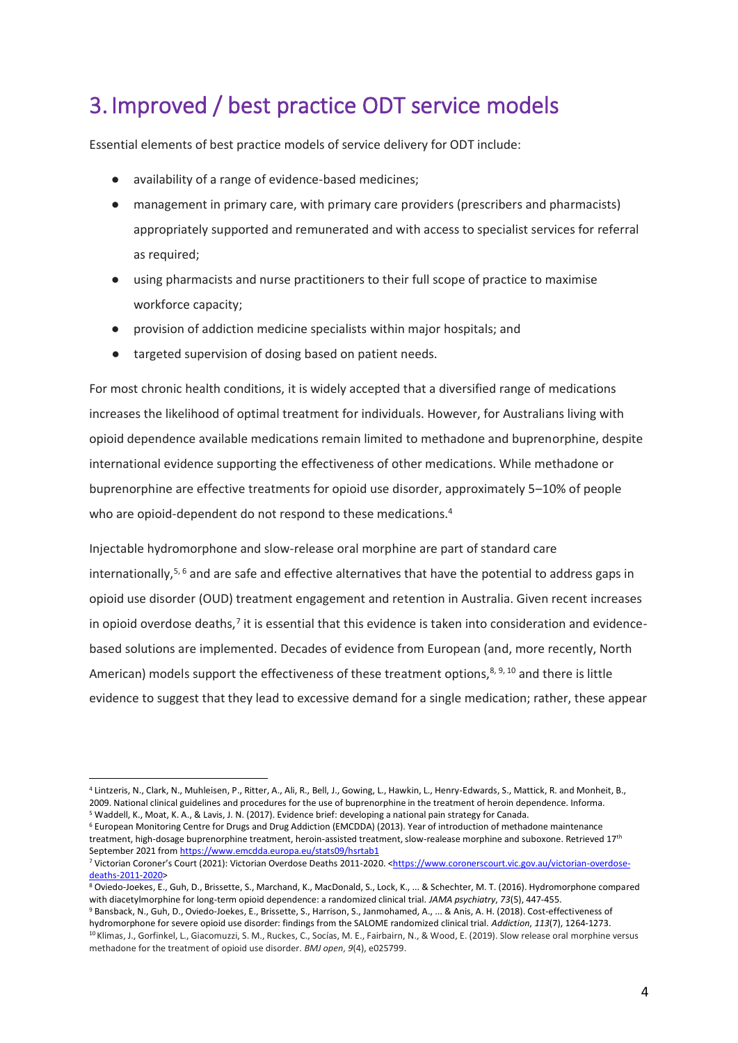### <span id="page-3-0"></span>3. Improved / best practice ODT service models

Essential elements of best practice models of service delivery for ODT include:

- availability of a range of evidence-based medicines;
- management in primary care, with primary care providers (prescribers and pharmacists) appropriately supported and remunerated and with access to specialist services for referral as required;
- using pharmacists and nurse practitioners to their full scope of practice to maximise workforce capacity;
- provision of addiction medicine specialists within major hospitals; and
- targeted supervision of dosing based on patient needs.

For most chronic health conditions, it is widely accepted that a diversified range of medications increases the likelihood of optimal treatment for individuals. However, for Australians living with opioid dependence available medications remain limited to methadone and buprenorphine, despite international evidence supporting the effectiveness of other medications. While methadone or buprenorphine are effective treatments for opioid use disorder, approximately 5–10% of people who are opioid-dependent do not respond to these medications.<sup>4</sup>

Injectable hydromorphone and slow-release oral morphine are part of standard care internationally,<sup>5, 6</sup> and are safe and effective alternatives that have the potential to address gaps in opioid use disorder (OUD) treatment engagement and retention in Australia. Given recent increases in opioid overdose deaths,<sup>7</sup> it is essential that this evidence is taken into consideration and evidencebased solutions are implemented. Decades of evidence from European (and, more recently, North American) models support the effectiveness of these treatment options,  $8, 9, 10$  and there is little evidence to suggest that they lead to excessive demand for a single medication; rather, these appear

<sup>4</sup> Lintzeris, N., Clark, N., Muhleisen, P., Ritter, A., Ali, R., Bell, J., Gowing, L., Hawkin, L., Henry-Edwards, S., Mattick, R. and Monheit, B., 2009. National clinical guidelines and procedures for the use of buprenorphine in the treatment of heroin dependence. Informa. <sup>5</sup> Waddell, K., Moat, K. A., & Lavis, J. N. (2017). Evidence brief: developing a national pain strategy for Canada.

<sup>&</sup>lt;sup>6</sup> European Monitoring Centre for Drugs and Drug Addiction (EMCDDA) (2013). Year of introduction of methadone maintenance treatment, high-dosage buprenorphine treatment, heroin-assisted treatment, slow-realease morphine and suboxone. Retrieved 17<sup>th</sup> September 2021 from <https://www.emcdda.europa.eu/stats09/hsrtab1>

<sup>7</sup> Victorian Coroner's Court (2021): Victorian Overdose Deaths 2011-2020. [<https://www.coronerscourt.vic.gov.au/victorian-overdose](https://www.coronerscourt.vic.gov.au/victorian-overdose-deaths-2011-2020)[deaths-2011-2020>](https://www.coronerscourt.vic.gov.au/victorian-overdose-deaths-2011-2020)

<sup>8</sup> Oviedo-Joekes, E., Guh, D., Brissette, S., Marchand, K., MacDonald, S., Lock, K., ... & Schechter, M. T. (2016). Hydromorphone compared with diacetylmorphine for long-term opioid dependence: a randomized clinical trial. *JAMA psychiatry*, *73*(5), 447-455.

<sup>9</sup> Bansback, N., Guh, D., Oviedo-Joekes, E., Brissette, S., Harrison, S., Janmohamed, A., ... & Anis, A. H. (2018). Cost-effectiveness of hydromorphone for severe opioid use disorder: findings from the SALOME randomized clinical trial. *Addiction*, *113*(7), 1264-1273. <sup>10</sup> Klimas, J., Gorfinkel, L., Giacomuzzi, S. M., Ruckes, C., Socías, M. E., Fairbairn, N., & Wood, E. (2019). Slow release oral morphine versus methadone for the treatment of opioid use disorder. *BMJ open*, *9*(4), e025799.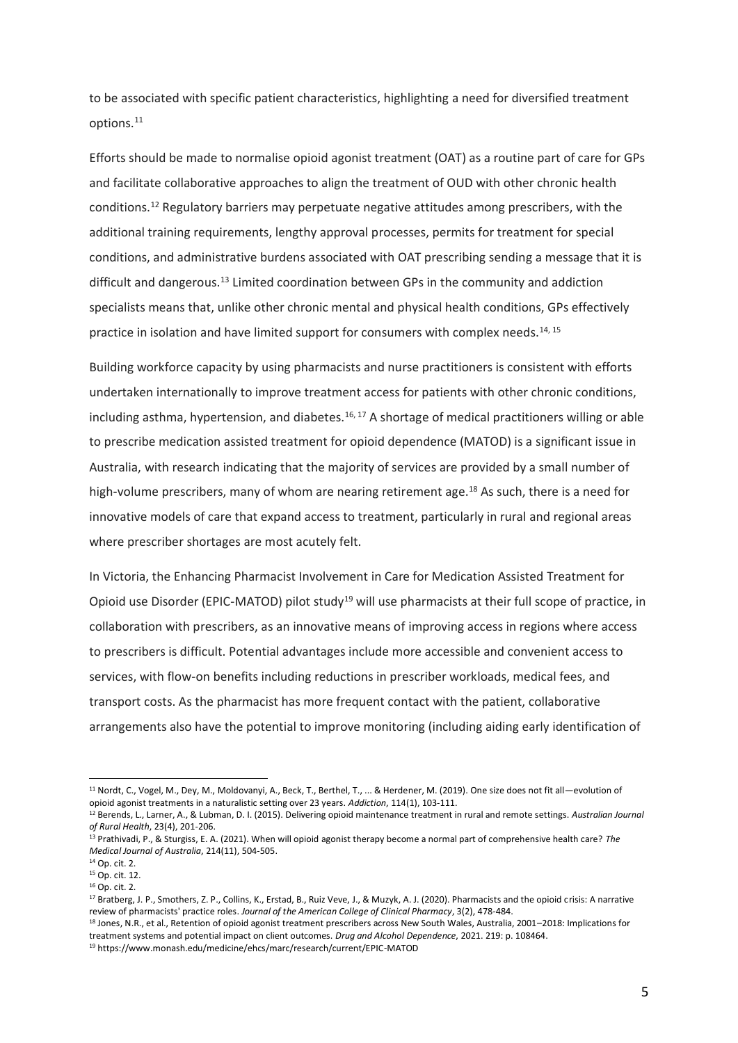to be associated with specific patient characteristics, highlighting a need for diversified treatment options.<sup>11</sup>

Efforts should be made to normalise opioid agonist treatment (OAT) as a routine part of care for GPs and facilitate collaborative approaches to align the treatment of OUD with other chronic health conditions.<sup>12</sup> Regulatory barriers may perpetuate negative attitudes among prescribers, with the additional training requirements, lengthy approval processes, permits for treatment for special conditions, and administrative burdens associated with OAT prescribing sending a message that it is difficult and dangerous.<sup>13</sup> Limited coordination between GPs in the community and addiction specialists means that, unlike other chronic mental and physical health conditions, GPs effectively practice in isolation and have limited support for consumers with complex needs.<sup>14, 15</sup>

Building workforce capacity by using pharmacists and nurse practitioners is consistent with efforts undertaken internationally to improve treatment access for patients with other chronic conditions, including asthma, hypertension, and diabetes.<sup>16, 17</sup> A shortage of medical practitioners willing or able to prescribe medication assisted treatment for opioid dependence (MATOD) is a significant issue in Australia, with research indicating that the majority of services are provided by a small number of high-volume prescribers, many of whom are nearing retirement age.<sup>18</sup> As such, there is a need for innovative models of care that expand access to treatment, particularly in rural and regional areas where prescriber shortages are most acutely felt.

In Victoria, the Enhancing Pharmacist Involvement in Care for Medication Assisted Treatment for Opioid use Disorder (EPIC-MATOD) pilot study<sup>19</sup> will use pharmacists at their full scope of practice, in collaboration with prescribers, as an innovative means of improving access in regions where access to prescribers is difficult. Potential advantages include more accessible and convenient access to services, with flow-on benefits including reductions in prescriber workloads, medical fees, and transport costs. As the pharmacist has more frequent contact with the patient, collaborative arrangements also have the potential to improve monitoring (including aiding early identification of

<sup>11</sup> Nordt, C., Vogel, M., Dey, M., Moldovanyi, A., Beck, T., Berthel, T., ... & Herdener, M. (2019). One size does not fit all—evolution of opioid agonist treatments in a naturalistic setting over 23 years. *Addiction*, 114(1), 103-111.

<sup>12</sup> Berends, L., Larner, A., & Lubman, D. I. (2015). Delivering opioid maintenance treatment in rural and remote settings. *Australian Journal of Rural Health*, 23(4), 201-206.

<sup>13</sup> Prathivadi, P., & Sturgiss, E. A. (2021). When will opioid agonist therapy become a normal part of comprehensive health care? *The Medical Journal of Australia*, 214(11), 504-505.

<sup>14</sup> Op. cit. 2.

<sup>15</sup> Op. cit. 12.

<sup>16</sup> Op. cit. 2.

<sup>&</sup>lt;sup>17</sup> Bratberg, J. P., Smothers, Z. P., Collins, K., Erstad, B., Ruiz Veve, J., & Muzyk, A. J. (2020). Pharmacists and the opioid crisis: A narrative review of pharmacists' practice roles. *Journal of the American College of Clinical Pharmacy*, 3(2), 478-484.

<sup>18</sup> Jones, N.R., et al., Retention of opioid agonist treatment prescribers across New South Wales, Australia, 2001-2018: Implications for treatment systems and potential impact on client outcomes. *Drug and Alcohol Dependence*, 2021. 219: p. 108464.

<sup>19</sup> https://www.monash.edu/medicine/ehcs/marc/research/current/EPIC-MATOD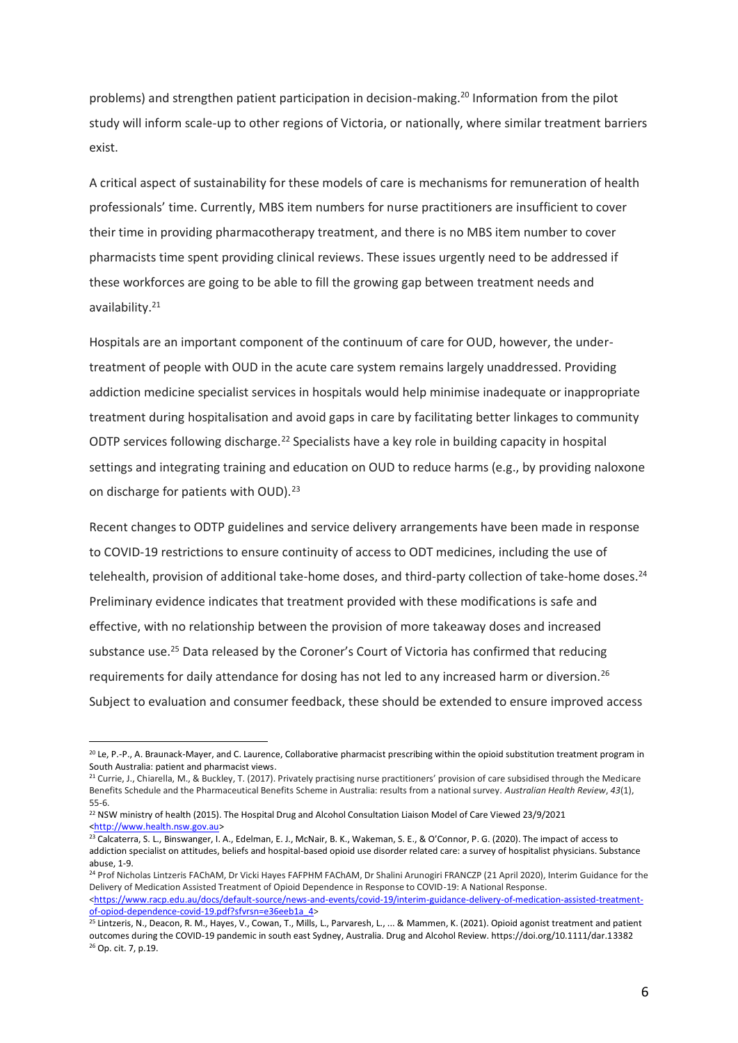problems) and strengthen patient participation in decision-making.<sup>20</sup> Information from the pilot study will inform scale-up to other regions of Victoria, or nationally, where similar treatment barriers exist.

A critical aspect of sustainability for these models of care is mechanisms for remuneration of health professionals' time. Currently, MBS item numbers for nurse practitioners are insufficient to cover their time in providing pharmacotherapy treatment, and there is no MBS item number to cover pharmacists time spent providing clinical reviews. These issues urgently need to be addressed if these workforces are going to be able to fill the growing gap between treatment needs and availability. 21

Hospitals are an important component of the continuum of care for OUD, however, the undertreatment of people with OUD in the acute care system remains largely unaddressed. Providing addiction medicine specialist services in hospitals would help minimise inadequate or inappropriate treatment during hospitalisation and avoid gaps in care by facilitating better linkages to community ODTP services following discharge.<sup>22</sup> Specialists have a key role in building capacity in hospital settings and integrating training and education on OUD to reduce harms (e.g., by providing naloxone on discharge for patients with OUD).<sup>23</sup>

Recent changes to ODTP guidelines and service delivery arrangements have been made in response to COVID-19 restrictions to ensure continuity of access to ODT medicines, including the use of telehealth, provision of additional take-home doses, and third-party collection of take-home doses.<sup>24</sup> Preliminary evidence indicates that treatment provided with these modifications is safe and effective, with no relationship between the provision of more takeaway doses and increased substance use.<sup>25</sup> Data released by the Coroner's Court of Victoria has confirmed that reducing requirements for daily attendance for dosing has not led to any increased harm or diversion.<sup>26</sup> Subject to evaluation and consumer feedback, these should be extended to ensure improved access

<sup>&</sup>lt;sup>20</sup> Le, P.-P., A. Braunack-Mayer, and C. Laurence, Collaborative pharmacist prescribing within the opioid substitution treatment program in South Australia: patient and pharmacist views.

<sup>&</sup>lt;sup>21</sup> Currie, J., Chiarella, M., & Buckley, T. (2017). Privately practising nurse practitioners' provision of care subsidised through the Medicare Benefits Schedule and the Pharmaceutical Benefits Scheme in Australia: results from a national survey. *Australian Health Review*, *43*(1), 55-6.

<sup>&</sup>lt;sup>22</sup> NSW ministry of health (2015). The Hospital Drug and Alcohol Consultation Liaison Model of Care Viewed 23/9/2021 [<http://www.health.nsw.gov.au>](http://www.health.nsw.gov.au/)

<sup>&</sup>lt;sup>23</sup> Calcaterra, S. L., Binswanger, I. A., Edelman, E. J., McNair, B. K., Wakeman, S. E., & O'Connor, P. G. (2020). The impact of access to addiction specialist on attitudes, beliefs and hospital-based opioid use disorder related care: a survey of hospitalist physicians. Substance abuse, 1-9.

<sup>&</sup>lt;sup>24</sup> Prof Nicholas Lintzeris FAChAM, Dr Vicki Hayes FAFPHM FAChAM, Dr Shalini Arunogiri FRANCZP (21 April 2020), Interim Guidance for the Delivery of Medication Assisted Treatment of Opioid Dependence in Response to COVID-19: A National Response. [<https://www.racp.edu.au/docs/default-source/news-and-events/covid-19/interim-guidance-delivery-of-medication-assisted-treatment](https://www.racp.edu.au/docs/default-source/news-and-events/covid-19/interim-guidance-delivery-of-medication-assisted-treatment-of-opiod-dependence-covid-19.pdf?sfvrsn=e36eeb1a_4)[of-opiod-dependence-covid-19.pdf?sfvrsn=e36eeb1a\\_4>](https://www.racp.edu.au/docs/default-source/news-and-events/covid-19/interim-guidance-delivery-of-medication-assisted-treatment-of-opiod-dependence-covid-19.pdf?sfvrsn=e36eeb1a_4)

<sup>&</sup>lt;sup>25</sup> Lintzeris, N., Deacon, R. M., Hayes, V., Cowan, T., Mills, L., Parvaresh, L., ... & Mammen, K. (2021). Opioid agonist treatment and patient outcomes during the COVID‐19 pandemic in south east Sydney, Australia. Drug and Alcohol Review. https://doi.org/10.1111/dar.13382 <sup>26</sup> Op. cit. 7, p.19.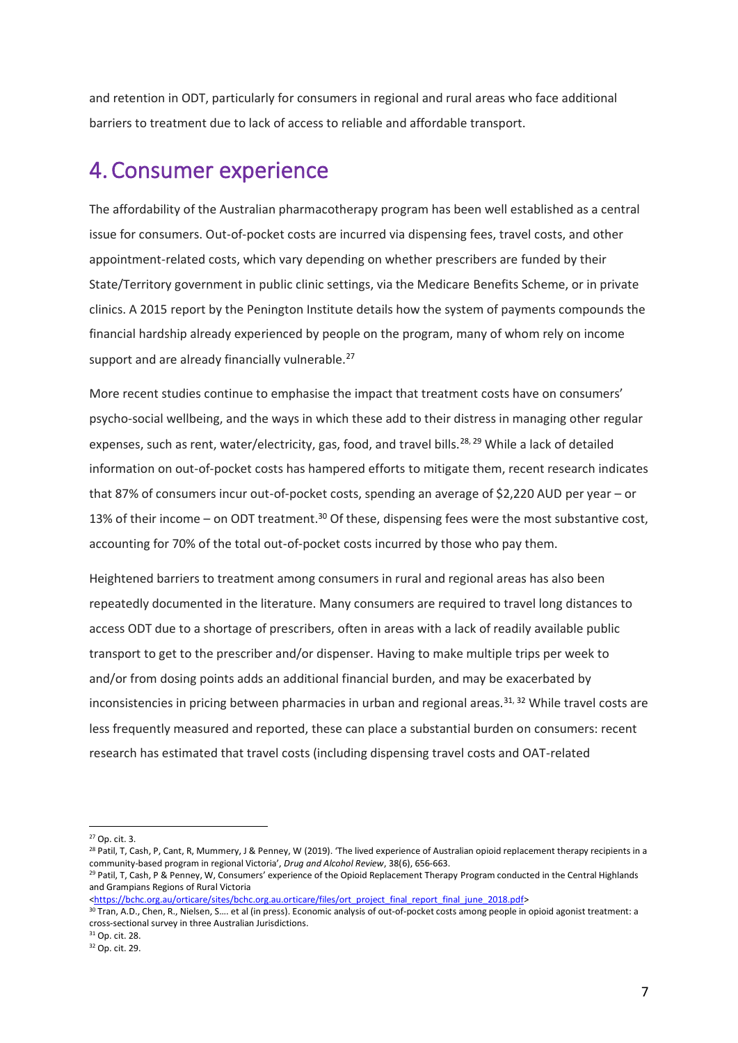and retention in ODT, particularly for consumers in regional and rural areas who face additional barriers to treatment due to lack of access to reliable and affordable transport.

#### <span id="page-6-0"></span>4.Consumer experience

The affordability of the Australian pharmacotherapy program has been well established as a central issue for consumers. Out-of-pocket costs are incurred via dispensing fees, travel costs, and other appointment-related costs, which vary depending on whether prescribers are funded by their State/Territory government in public clinic settings, via the Medicare Benefits Scheme, or in private clinics. A 2015 report by the Penington Institute details how the system of payments compounds the financial hardship already experienced by people on the program, many of whom rely on income support and are already financially vulnerable.<sup>27</sup>

More recent studies continue to emphasise the impact that treatment costs have on consumers' psycho-social wellbeing, and the ways in which these add to their distress in managing other regular expenses, such as rent, water/electricity, gas, food, and travel bills.<sup>28, 29</sup> While a lack of detailed information on out-of-pocket costs has hampered efforts to mitigate them, recent research indicates that 87% of consumers incur out-of-pocket costs, spending an average of \$2,220 AUD per year – or 13% of their income – on ODT treatment.<sup>30</sup> Of these, dispensing fees were the most substantive cost, accounting for 70% of the total out-of-pocket costs incurred by those who pay them.

Heightened barriers to treatment among consumers in rural and regional areas has also been repeatedly documented in the literature. Many consumers are required to travel long distances to access ODT due to a shortage of prescribers, often in areas with a lack of readily available public transport to get to the prescriber and/or dispenser. Having to make multiple trips per week to and/or from dosing points adds an additional financial burden, and may be exacerbated by inconsistencies in pricing between pharmacies in urban and regional areas.<sup>31, 32</sup> While travel costs are less frequently measured and reported, these can place a substantial burden on consumers: recent research has estimated that travel costs (including dispensing travel costs and OAT-related

[<https://bchc.org.au/orticare/sites/bchc.org.au.orticare/files/ort\\_project\\_final\\_report\\_final\\_june\\_2018.pdf>](https://bchc.org.au/orticare/sites/bchc.org.au.orticare/files/ort_project_final_report_final_june_2018.pdf)

 $27$  Op. cit. 3.

<sup>&</sup>lt;sup>28</sup> Patil, T, Cash, P, Cant, R, Mummery, J & Penney, W (2019). 'The lived experience of Australian opioid replacement therapy recipients in a community-based program in regional Victoria', *Drug and Alcohol Review*, 38(6), 656-663.

<sup>&</sup>lt;sup>29</sup> Patil, T, Cash, P & Penney, W, Consumers' experience of the Opioid Replacement Therapy Program conducted in the Central Highlands and Grampians Regions of Rural Victoria

<sup>30</sup> Tran, A.D., Chen, R., Nielsen, S…. et al (in press). Economic analysis of out-of-pocket costs among people in opioid agonist treatment: a cross-sectional survey in three Australian Jurisdictions.

<sup>31</sup> Op. cit. 28.

<sup>32</sup> Op. cit. 29.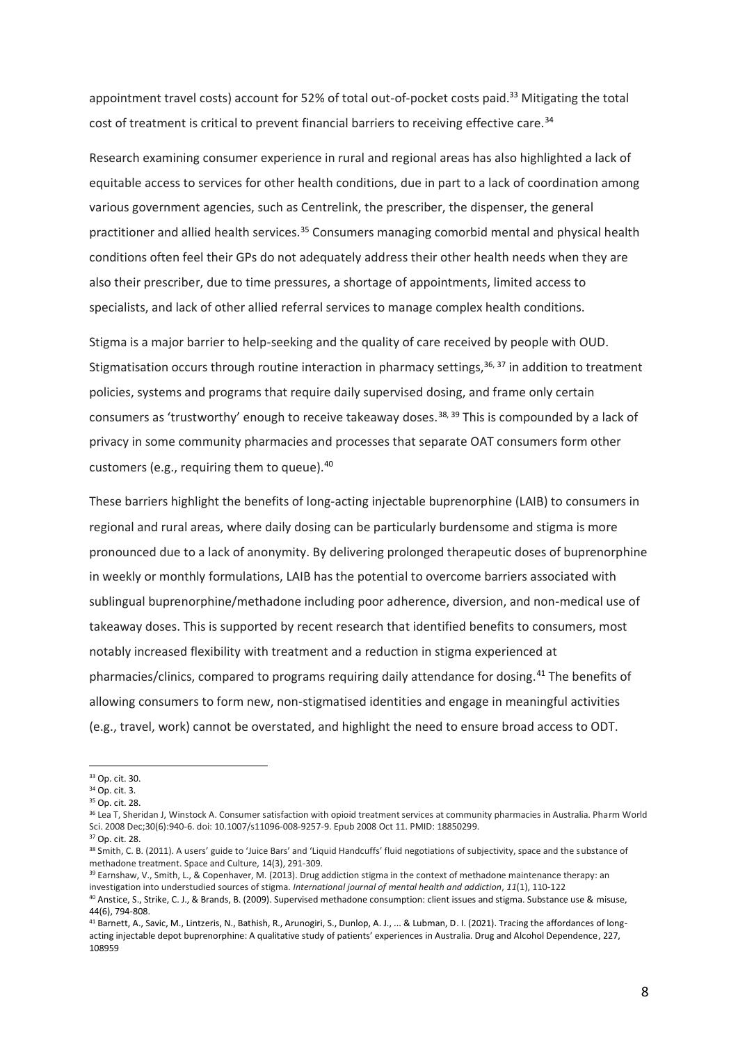appointment travel costs) account for 52% of total out-of-pocket costs paid.<sup>33</sup> Mitigating the total cost of treatment is critical to prevent financial barriers to receiving effective care.<sup>34</sup>

Research examining consumer experience in rural and regional areas has also highlighted a lack of equitable access to services for other health conditions, due in part to a lack of coordination among various government agencies, such as Centrelink, the prescriber, the dispenser, the general practitioner and allied health services.<sup>35</sup> Consumers managing comorbid mental and physical health conditions often feel their GPs do not adequately address their other health needs when they are also their prescriber, due to time pressures, a shortage of appointments, limited access to specialists, and lack of other allied referral services to manage complex health conditions.

Stigma is a major barrier to help-seeking and the quality of care received by people with OUD. Stigmatisation occurs through routine interaction in pharmacy settings,  $36, 37$  in addition to treatment policies, systems and programs that require daily supervised dosing, and frame only certain consumers as 'trustworthy' enough to receive takeaway doses.<sup>38, 39</sup> This is compounded by a lack of privacy in some community pharmacies and processes that separate OAT consumers form other customers (e.g., requiring them to queue).<sup>40</sup>

These barriers highlight the benefits of long-acting injectable buprenorphine (LAIB) to consumers in regional and rural areas, where daily dosing can be particularly burdensome and stigma is more pronounced due to a lack of anonymity. By delivering prolonged therapeutic doses of buprenorphine in weekly or monthly formulations, LAIB has the potential to overcome barriers associated with sublingual buprenorphine/methadone including poor adherence, diversion, and non-medical use of takeaway doses. This is supported by recent research that identified benefits to consumers, most notably increased flexibility with treatment and a reduction in stigma experienced at pharmacies/clinics, compared to programs requiring daily attendance for dosing.<sup>41</sup> The benefits of allowing consumers to form new, non-stigmatised identities and engage in meaningful activities (e.g., travel, work) cannot be overstated, and highlight the need to ensure broad access to ODT.

<sup>37</sup> Op. cit. 28.

<sup>33</sup> Op. cit. 30.

<sup>34</sup> Op. cit. 3.

<sup>35</sup> Op. cit. 28.

<sup>&</sup>lt;sup>36</sup> Lea T. Sheridan J. Winstock A. Consumer satisfaction with opioid treatment services at community pharmacies in Australia. Pharm World Sci. 2008 Dec;30(6):940-6. doi: 10.1007/s11096-008-9257-9. Epub 2008 Oct 11. PMID: 18850299.

<sup>38</sup> Smith, C. B. (2011). A users' guide to 'Juice Bars' and 'Liquid Handcuffs' fluid negotiations of subjectivity, space and the substance of methadone treatment. Space and Culture, 14(3), 291-309.

<sup>39</sup> Earnshaw, V., Smith, L., & Copenhaver, M. (2013). Drug addiction stigma in the context of methadone maintenance therapy: an investigation into understudied sources of stigma. *International journal of mental health and addiction*, *11*(1), 110-122

<sup>40</sup> Anstice, S., Strike, C. J., & Brands, B. (2009). Supervised methadone consumption: client issues and stigma. Substance use & misuse, 44(6), 794-808.

<sup>&</sup>lt;sup>41</sup> Barnett, A., Savic, M., Lintzeris, N., Bathish, R., Arunogiri, S., Dunlop, A. J., ... & Lubman, D. I. (2021). Tracing the affordances of longacting injectable depot buprenorphine: A qualitative study of patients' experiences in Australia. Drug and Alcohol Dependence, 227, 108959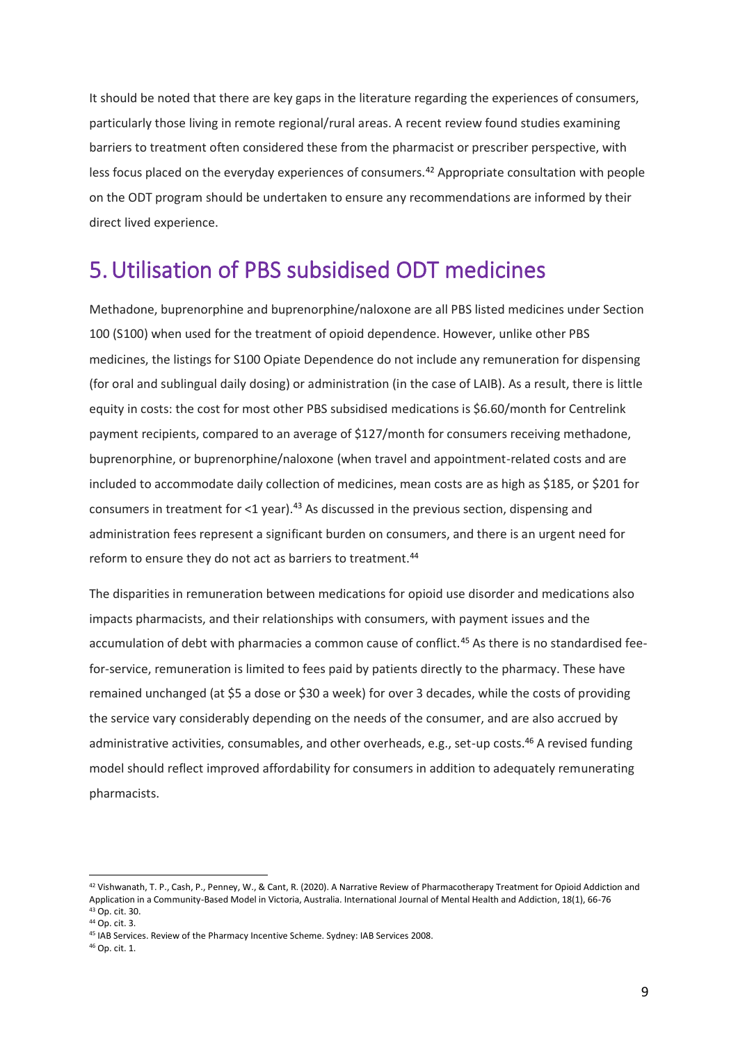It should be noted that there are key gaps in the literature regarding the experiences of consumers, particularly those living in remote regional/rural areas. A recent review found studies examining barriers to treatment often considered these from the pharmacist or prescriber perspective, with less focus placed on the everyday experiences of consumers.<sup>42</sup> Appropriate consultation with people on the ODT program should be undertaken to ensure any recommendations are informed by their direct lived experience.

#### <span id="page-8-0"></span>5.Utilisation of PBS subsidised ODT medicines

Methadone, buprenorphine and buprenorphine/naloxone are all PBS listed medicines under Section 100 (S100) when used for the treatment of opioid dependence. However, unlike other PBS medicines, the listings for S100 Opiate Dependence do not include any remuneration for dispensing (for oral and sublingual daily dosing) or administration (in the case of LAIB). As a result, there is little equity in costs: the cost for most other PBS subsidised medications is \$6.60/month for Centrelink payment recipients, compared to an average of \$127/month for consumers receiving methadone, buprenorphine, or buprenorphine/naloxone (when travel and appointment-related costs and are included to accommodate daily collection of medicines, mean costs are as high as \$185, or \$201 for consumers in treatment for <1 year).<sup>43</sup> As discussed in the previous section, dispensing and administration fees represent a significant burden on consumers, and there is an urgent need for reform to ensure they do not act as barriers to treatment.<sup>44</sup>

The disparities in remuneration between medications for opioid use disorder and medications also impacts pharmacists, and their relationships with consumers, with payment issues and the accumulation of debt with pharmacies a common cause of conflict.<sup>45</sup> As there is no standardised feefor-service, remuneration is limited to fees paid by patients directly to the pharmacy. These have remained unchanged (at \$5 a dose or \$30 a week) for over 3 decades, while the costs of providing the service vary considerably depending on the needs of the consumer, and are also accrued by administrative activities, consumables, and other overheads, e.g., set-up costs.<sup>46</sup> A revised funding model should reflect improved affordability for consumers in addition to adequately remunerating pharmacists.

<sup>42</sup> Vishwanath, T. P., Cash, P., Penney, W., & Cant, R. (2020). A Narrative Review of Pharmacotherapy Treatment for Opioid Addiction and Application in a Community-Based Model in Victoria, Australia. International Journal of Mental Health and Addiction, 18(1), 66-76 <sup>43</sup> Op. cit. 30.

<sup>44</sup> Op. cit. 3.

<sup>45</sup> IAB Services. Review of the Pharmacy Incentive Scheme. Sydney: IAB Services 2008.

<sup>46</sup> Op. cit. 1.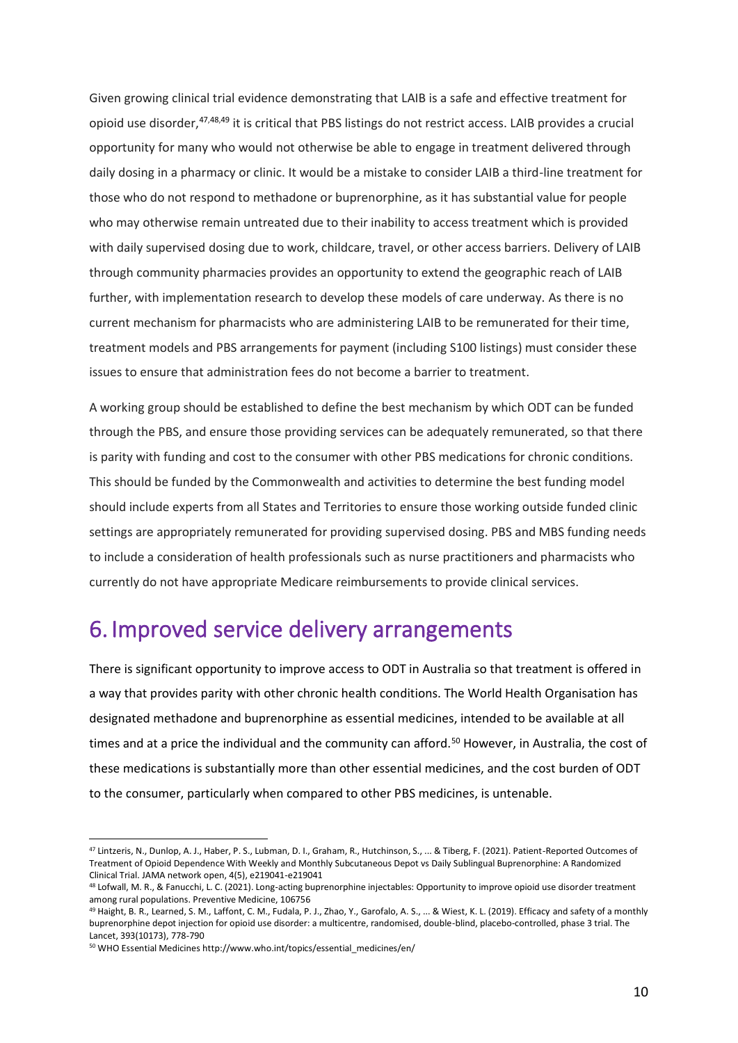Given growing clinical trial evidence demonstrating that LAIB is a safe and effective treatment for opioid use disorder,47,48,49 it is critical that PBS listings do not restrict access. LAIB provides a crucial opportunity for many who would not otherwise be able to engage in treatment delivered through daily dosing in a pharmacy or clinic. It would be a mistake to consider LAIB a third-line treatment for those who do not respond to methadone or buprenorphine, as it has substantial value for people who may otherwise remain untreated due to their inability to access treatment which is provided with daily supervised dosing due to work, childcare, travel, or other access barriers. Delivery of LAIB through community pharmacies provides an opportunity to extend the geographic reach of LAIB further, with implementation research to develop these models of care underway. As there is no current mechanism for pharmacists who are administering LAIB to be remunerated for their time, treatment models and PBS arrangements for payment (including S100 listings) must consider these issues to ensure that administration fees do not become a barrier to treatment.

A working group should be established to define the best mechanism by which ODT can be funded through the PBS, and ensure those providing services can be adequately remunerated, so that there is parity with funding and cost to the consumer with other PBS medications for chronic conditions. This should be funded by the Commonwealth and activities to determine the best funding model should include experts from all States and Territories to ensure those working outside funded clinic settings are appropriately remunerated for providing supervised dosing. PBS and MBS funding needs to include a consideration of health professionals such as nurse practitioners and pharmacists who currently do not have appropriate Medicare reimbursements to provide clinical services.

#### <span id="page-9-0"></span>6. Improved service delivery arrangements

There is significant opportunity to improve access to ODT in Australia so that treatment is offered in a way that provides parity with other chronic health conditions. The World Health Organisation has designated methadone and buprenorphine as essential medicines, intended to be available at all times and at a price the individual and the community can afford.<sup>50</sup> However, in Australia, the cost of these medications is substantially more than other essential medicines, and the cost burden of ODT to the consumer, particularly when compared to other PBS medicines, is untenable.

<sup>47</sup> Lintzeris, N., Dunlop, A. J., Haber, P. S., Lubman, D. I., Graham, R., Hutchinson, S., ... & Tiberg, F. (2021). Patient-Reported Outcomes of Treatment of Opioid Dependence With Weekly and Monthly Subcutaneous Depot vs Daily Sublingual Buprenorphine: A Randomized Clinical Trial. JAMA network open, 4(5), e219041-e219041

<sup>48</sup> Lofwall, M. R., & Fanucchi, L. C. (2021). Long-acting buprenorphine injectables: Opportunity to improve opioid use disorder treatment among rural populations. Preventive Medicine, 106756

<sup>&</sup>lt;sup>49</sup> Haight, B. R., Learned, S. M., Laffont, C. M., Fudala, P. J., Zhao, Y., Garofalo, A. S., ... & Wiest, K. L. (2019). Efficacy and safety of a monthly buprenorphine depot injection for opioid use disorder: a multicentre, randomised, double-blind, placebo-controlled, phase 3 trial. The Lancet, 393(10173), 778-790

<sup>50</sup> WHO Essential Medicines http://www.who.int/topics/essential\_medicines/en/